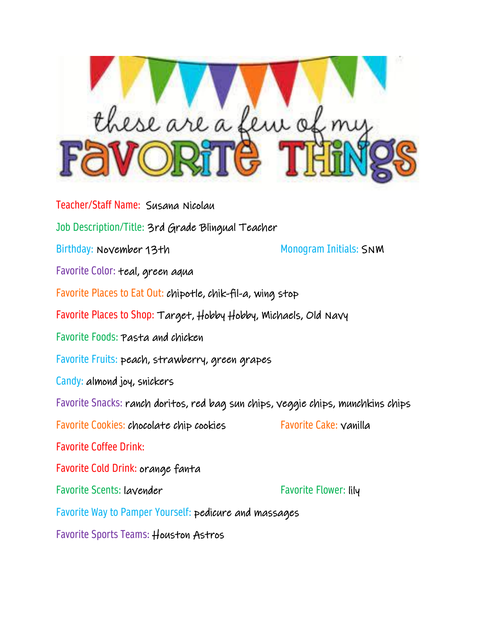

Teacher/Staff Name: Susana Nicolau Job Description/Title: 3rd Grade Blingual Teacher Birthday: November 13th Monogram Initials: SNM Favorite Color: teal, green aqua Favorite Places to Eat Out: chipotle, chik-fil-a, wing stop Favorite Places to Shop: Target, Hobby Hobby, Michaels, Old Navy Favorite Foods: Pasta and chicken Favorite Fruits: peach, strawberry, green grapes Candy: almond joy, snickers Favorite Snacks: ranch doritos, red bag sun chips, veggie chips, munchkins chips Favorite Cookies: chocolate chip cookies Favorite Cake: vanilla Favorite Coffee Drink: Favorite Cold Drink: orange fanta Favorite Scents: layender Favorite Flower: lily Favorite Way to Pamper Yourself: pedicure and massages

Favorite Sports Teams: Houston Astros